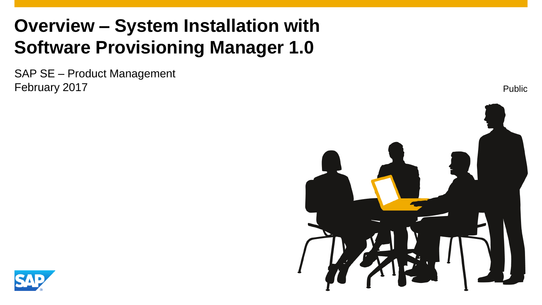## **Overview – System Installation with Software Provisioning Manager 1.0**

SAP SE – Product Management February 2017



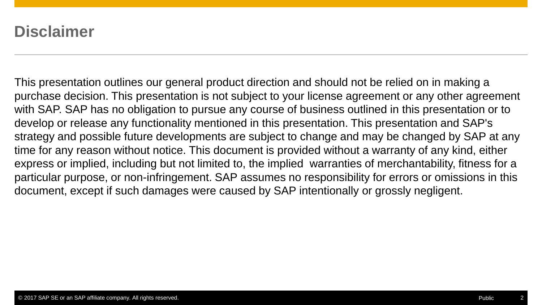## **Disclaimer**

This presentation outlines our general product direction and should not be relied on in making a purchase decision. This presentation is not subject to your license agreement or any other agreement with SAP. SAP has no obligation to pursue any course of business outlined in this presentation or to develop or release any functionality mentioned in this presentation. This presentation and SAP's strategy and possible future developments are subject to change and may be changed by SAP at any time for any reason without notice. This document is provided without a warranty of any kind, either express or implied, including but not limited to, the implied warranties of merchantability, fitness for a particular purpose, or non-infringement. SAP assumes no responsibility for errors or omissions in this document, except if such damages were caused by SAP intentionally or grossly negligent.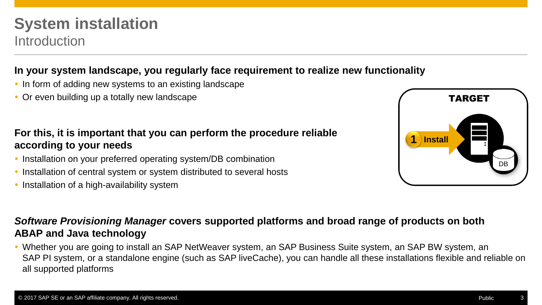## **System installation** Introduction

#### **In your system landscape, you regularly face requirement to realize new functionality**

- In form of adding new systems to an existing landscape
- Or even building up a totally new landscape

#### **For this, it is important that you can perform the procedure reliable according to your needs**

- Installation on your preferred operating system/DB combination
- Installation of central system or system distributed to several hosts
- Installation of a high-availability system



#### *Software Provisioning Manager* **covers supported platforms and broad range of products on both ABAP and Java technology**

 Whether you are going to install an SAP NetWeaver system, an SAP Business Suite system, an SAP BW system, an SAP PI system, or a standalone engine (such as SAP liveCache), you can handle all these installations flexible and reliable on all supported platforms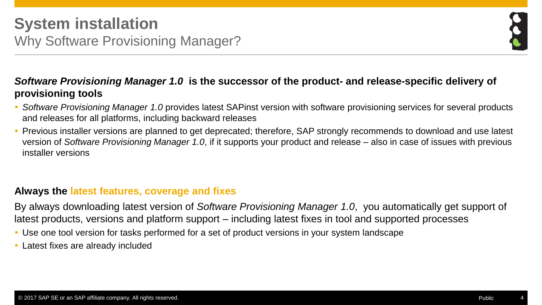

## *Software Provisioning Manager 1.0* **is the successor of the product- and release-specific delivery of provisioning tools**

- *Software Provisioning Manager 1.0* provides latest SAPinst version with software provisioning services for several products and releases for all platforms, including backward releases
- Previous installer versions are planned to get deprecated; therefore, SAP strongly recommends to download and use latest version of *Software Provisioning Manager 1.0*, if it supports your product and release – also in case of issues with previous installer versions

## **Always the latest features, coverage and fixes**

By always downloading latest version of *Software Provisioning Manager 1.0*, you automatically get support of latest products, versions and platform support – including latest fixes in tool and supported processes

- Use one tool version for tasks performed for a set of product versions in your system landscape
- Latest fixes are already included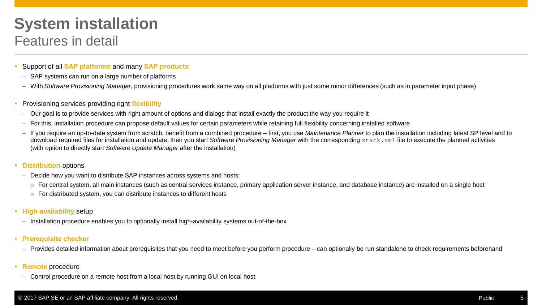## **System installation** Features in detail

- Support of all **SAP platforms** and many **SAP products**
- SAP systems can run on a large number of platforms
- With *Software Provisioning Manager*, provisioning procedures work same way on all platforms with just some minor differences (such as in parameter input phase)
- Provisioning services providing right **flexibility**
	- Our goal is to provide services with right amount of options and dialogs that install exactly the product the way you require it
	- For this, installation procedure can propose default values for certain parameters while retaining full flexibility concerning installed software
	- If you require an up-to-date system from scratch, benefit from a combined procedure first, you use *Maintenance Planner* to plan the installation including latest SP level and to download required files for installation and update, then you start *Software Provisioning Manager* with the corresponding stack.xml file to execute the planned activities (with option to directly start *Software Update Manager* after the installation)
- **Distribution** options
	- Decide how you want to distribute SAP instances across systems and hosts:
		- o For central system, all main instances (such as central services instance, primary application server instance, and database instance) are installed on a single host
		- o For distributed system, you can distribute instances to different hosts
- **High-availability** setup
	- Installation procedure enables you to optionally install high-availability systems out-of-the-box
- **Prerequisite checker** 
	- Provides detailed information about prerequisites that you need to meet before you perform procedure can optionally be run standalone to check requirements beforehand
- **Remote** procedure
	- Control procedure on a remote host from a local host by running GUI on local host

#### © 2017 SAP SE or an SAP affiliate company. All rights reserved. Public 5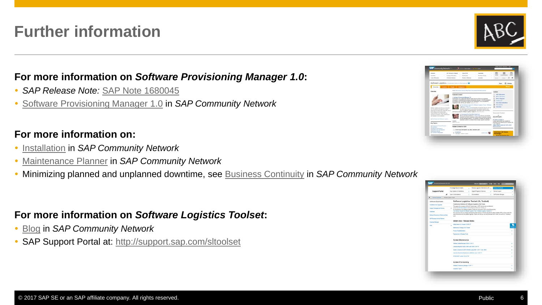## **Further information**

#### **For more information on** *Software Provisioning Manager 1.0***:**

- *SAP Release Note:* [SAP Note 1680045](http://service.sap.com/sap/support/notes/1680045)
- [Software Provisioning Manager 1.0](http://scn.sap.com/docs/DOC-30236) in *SAP Community Network*

## **For more information on:**

- **[Installation](http://scn.sap.com/docs/DOC-8501) in** *SAP Community Network*
- [Maintenance Planner](http://scn.sap.com/docs/DOC-65243) in *SAP Community Network*
- Minimizing planned and unplanned downtime, see [Business Continuity](http://scn.sap.com/community/business-continuity) in *SAP Community Network*

#### **For more information on** *Software Logistics Toolset***:**

- [Blog](http://scn.sap.com/community/it-management/alm/software-logistics/blog/2012/03/15/the-delivery-channel-for-software-logistics-tools-software-logistics-toolset-10) in *SAP Community Network*
- SAP Support Portal at: <http://support.sap.com/sltoolset>





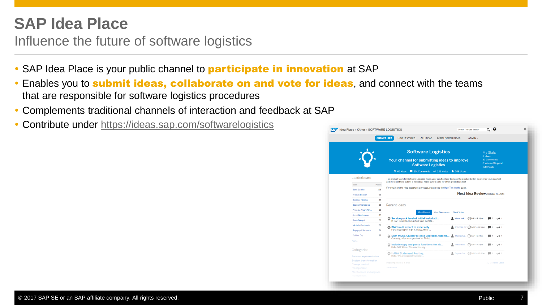## **SAP Idea Place**

Influence the future of software logistics

- SAP Idea Place is your public channel to **participate in innovation** at SAP
- **Enables you to submit ideas, collaborate on and vote for ideas**, and connect with the teams that are responsible for software logistics procedures
- Complements traditional channels of interaction and feedback at SAP
- Contribute under <https://ideas.sap.com/softwarelogistics>

| Idea Place > Other > SOFTWARE LOGISTICS                                          |        |                                                                                                                                                                                                                 |                        | Search This Idea Session       |                                                         |                              |
|----------------------------------------------------------------------------------|--------|-----------------------------------------------------------------------------------------------------------------------------------------------------------------------------------------------------------------|------------------------|--------------------------------|---------------------------------------------------------|------------------------------|
|                                                                                  |        | <b>SUBMIT IDEA</b><br><b>HOW IT WORKS</b><br><b>ALL IDEAS</b>                                                                                                                                                   | <b>MELIVERED IDEAS</b> | ADMIN V                        |                                                         |                              |
|                                                                                  |        | <b>Software Logistics</b><br>Your channel for submitting ideas to improve<br><b>Software Logistics</b><br>201 Comments vi 252 Votes<br>$\n  Q$ 66 Ideas                                                         | $$548$ Users           |                                | <b>My Stats</b><br>O Ideas<br>83 Comments<br>108 Points | <b>O Votes of Support</b>    |
| Leaderboard                                                                      |        | The product team for Software Logistics wants your input on how to make the product better. Search for your idea first<br>and if it's not there submit a new idea. Make sure to vote for other great ideas tool |                        |                                |                                                         |                              |
| User                                                                             | Points | For details on the idea acceptance process, please see the How This Works page.                                                                                                                                 |                        |                                |                                                         |                              |
| <b>Boris Zarske</b>                                                              | 108    | Next Idea Review: October 15, 2014                                                                                                                                                                              |                        |                                |                                                         |                              |
| Nicolas Busson                                                                   | 65     |                                                                                                                                                                                                                 |                        |                                |                                                         |                              |
| <b>Berthier Nicolas</b>                                                          | 38     |                                                                                                                                                                                                                 |                        |                                |                                                         |                              |
| <b>Bogdan Caradaica</b>                                                          | 35     | Recent Ideas                                                                                                                                                                                                    |                        |                                |                                                         |                              |
| Princely Albert Ath                                                              | 35     | <b>Most Comments</b><br><b>Most Recent</b>                                                                                                                                                                      | <b>Most Votes</b>      |                                |                                                         |                              |
| Jens Gleichmann                                                                  | 33     |                                                                                                                                                                                                                 |                        |                                |                                                         |                              |
| <b>Karin Spiegel</b>                                                             | 27     | O Service pack level of initial Installati<br>In SAP Download Area if we want to insta.                                                                                                                         | Mister Mak.            | $(4)$ 9/9/14 9:32pm            |                                                         |                              |
| Michele Cortinovis                                                               | 26     | O BI4.1 webi export to excel only                                                                                                                                                                               |                        | CYLEEZL CY (4) 8/25/14 12:56am |                                                         |                              |
| Raiagopal Sampath                                                                | 24     | For a webi report In BI 4.1 sp03, there                                                                                                                                                                         |                        |                                |                                                         |                              |
| <b>Dalibor Cip</b>                                                               | 23     | C SUM MSCS Cluster release upgrade: Automa<br>Currently, after an upgrade of an PI dou                                                                                                                          | 요                      | Thomas Kra., (4) 8/5/14 5:44am |                                                         | $\sqrt{2}$ 1                 |
| more.<br>Categories                                                              |        | O Include copy and paste functions for alv<br>Hello SAP Ideas, We need to copy                                                                                                                                  |                        | Ivan Gonza (4) 8/4/14 4:34pm   |                                                         | $\sqrt{4}$ 1                 |
| Solution implementation                                                          |        | <b>HANA Statement Routing</b><br>Hello, We are currently several.                                                                                                                                               |                        | Bogdan Car (4) 7/31/14 12:02am |                                                         | $\blacksquare$ 3 $\sqrt{4}0$ |
| System transformation<br>Change control<br>management<br>Maintenance and upgrade |        | Displaying results 1 - 5 of 66<br>See all items.                                                                                                                                                                |                        |                                |                                                         | 12 3 Next; Last»             |
| management                                                                       |        |                                                                                                                                                                                                                 |                        |                                |                                                         |                              |